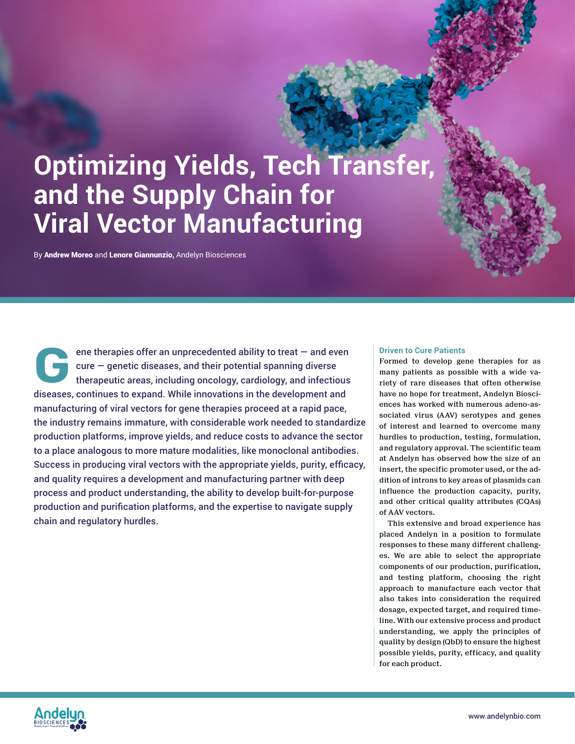# **Optimizing Yields, Tech Transfer, and the Supply Chain for Viral Vector Manufacturing**

By Andrew Moreo and Lenore Giannunzio, Andelyn Biosciences

ene therapies offer an unprecedented ability to treat  $-$  and even  $c$ ure  $-$  genetic diseases, and their potential spanning diverse therapeutic areas, including oncology, cardiology, and infectious ene therapies offer an unprecedented ability to treat – and even<br>cure – genetic diseases, and their potential spanning diverse<br>therapeutic areas, including oncology, cardiology, and infectious<br>diseases, continues to expand manufacturing of viral vectors for gene therapies proceed at a rapid pace, the industry remains immature, with considerable work needed to standardize production platforms, improve yields, and reduce costs to advance the sector to a place analogous to more mature modalities, like monoclonal antibodies. Success in producing viral vectors with the appropriate yields, purity, efficacy, and quality requires a development and manufacturing partner with deep process and product understanding, the ability to develop built-for-purpose production and purification platforms, and the expertise to navigate supply chain and regulatory hurdles.

#### **Driven to Cure Patients**

Formed to develop gene therapies for as many patients as possible with a wide variety of rare diseases that often otherwise have no hope for treatment, Andelyn Biosciences has worked with numerous adeno-associated virus (AAV) serotypes and genes of interest and learned to overcome many hurdles to production, testing, formulation, and regulatory approval. The scientific team at Andelyn has observed how the size of an insert, the specific promoter used, or the addition of introns to key areas of plasmids can influence the production capacity, purity, and other critical quality attributes (CQAs) of AAV vectors.

This extensive and broad experience has placed Andelyn in a position to formulate responses to these many different challenges. We are able to select the appropriate components of our production, purification, and testing platform, choosing the right approach to manufacture each vector that also takes into consideration the required dosage, expected target, and required timeline. With our extensive process and product understanding, we apply the principles of quality by design (QbD) to ensure the highest possible yields, purity, efficacy, and quality for each product.

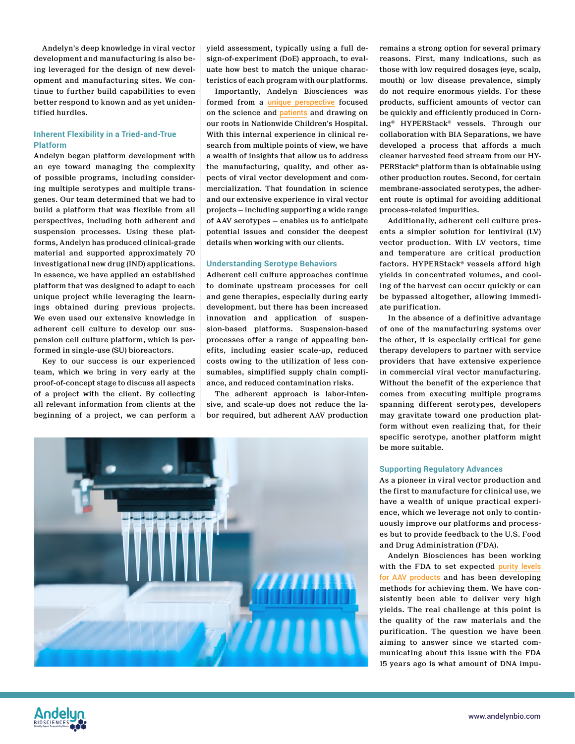Andelyn's deep knowledge in viral vector development and manufacturing is also being leveraged for the design of new development and manufacturing sites. We continue to further build capabilities to even better respond to known and as yet unidentified hurdles.

# **Inherent Flexibility in a Tried-and-True Platform**

Andelyn began platform development with an eye toward managing the complexity of possible programs, including considering multiple serotypes and multiple transgenes. Our team determined that we had to build a platform that was flexible from all perspectives, including both adherent and suspension processes. Using these platforms, Andelyn has produced clinical-grade material and supported approximately 70 investigational new drug (IND) applications. In essence, we have applied an established platform that was designed to adapt to each unique project while leveraging the learnings obtained during previous projects. We even used our extensive knowledge in adherent cell culture to develop our suspension cell culture platform, which is performed in single-use (SU) bioreactors.

Key to our success is our experienced team, which we bring in very early at the proof-of-concept stage to discuss all aspects of a project with the client. By collecting all relevant information from clients at the beginning of a project, we can perform a yield assessment, typically using a full design-of-experiment (DoE) approach, to evaluate how best to match the unique characteristics of each program with our platforms.

Importantly, Andelyn Biosciences was formed from a [unique perspective](https://andelynbio.com/2021/08/23/andelyn-biosciences-a-new-cdmo-with-roots-in-gene-therapy-research-set-to-drive-key-manufacturing-advances/) focused on the science and [patients](https://andelynbio.com/2021/02/15/the-andelyn-difference/) and drawing on our roots in Nationwide Children's Hospital. With this internal experience in clinical research from multiple points of view, we have a wealth of insights that allow us to address the manufacturing, quality, and other aspects of viral vector development and commercialization. That foundation in science and our extensive experience in viral vector projects — including supporting a wide range of AAV serotypes — enables us to anticipate potential issues and consider the deepest details when working with our clients.

## **Understanding Serotype Behaviors**

Adherent cell culture approaches continue to dominate upstream processes for cell and gene therapies, especially during early development, but there has been increased innovation and application of suspension-based platforms. Suspension-based processes offer a range of appealing benefits, including easier scale-up, reduced costs owing to the utilization of less consumables, simplified supply chain compliance, and reduced contamination risks.

The adherent approach is labor-intensive, and scale-up does not reduce the labor required, but adherent AAV production



remains a strong option for several primary reasons. First, many indications, such as those with low required dosages (eye, scalp, mouth) or low disease prevalence, simply do not require enormous yields. For these products, sufficient amounts of vector can be quickly and efficiently produced in Corning® HYPERStack® vessels. Through our collaboration with BIA Separations, we have developed a process that affords a much cleaner harvested feed stream from our HY-PERStack® platform than is obtainable using other production routes. Second, for certain membrane-associated serotypes, the adherent route is optimal for avoiding additional process-related impurities.

Additionally, adherent cell culture presents a simpler solution for lentiviral (LV) vector production. With LV vectors, time and temperature are critical production factors. HYPERStack® vessels afford high yields in concentrated volumes, and cooling of the harvest can occur quickly or can be bypassed altogether, allowing immediate purification.

In the absence of a definitive advantage of one of the manufacturing systems over the other, it is especially critical for gene therapy developers to partner with service providers that have extensive experience in commercial viral vector manufacturing. Without the benefit of the experience that comes from executing multiple programs spanning different serotypes, developers may gravitate toward one production platform without even realizing that, for their specific serotype, another platform might be more suitable.

## **Supporting Regulatory Advances**

As a pioneer in viral vector production and the first to manufacture for clinical use, we have a wealth of unique practical experience, which we leverage not only to continuously improve our platforms and processes but to provide feedback to the U.S. Food and Drug Administration (FDA).

Andelyn Biosciences has been working with the FDA to set expected [purity levels](https://andelynbio.com/2021/09/23/navigating-analytical-requirements-for-gmp-viral-vectors/) [for AAV products](https://andelynbio.com/2021/09/23/navigating-analytical-requirements-for-gmp-viral-vectors/) and has been developing methods for achieving them. We have consistently been able to deliver very high yields. The real challenge at this point is the quality of the raw materials and the purification. The question we have been aiming to answer since we started communicating about this issue with the FDA 15 years ago is what amount of DNA impu-

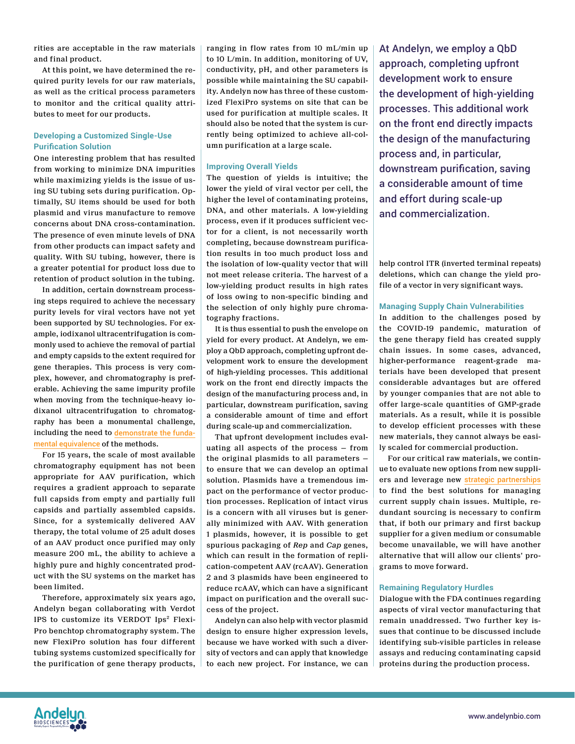rities are acceptable in the raw materials and final product.

At this point, we have determined the required purity levels for our raw materials, as well as the critical process parameters to monitor and the critical quality attributes to meet for our products.

# **Developing a Customized Single-Use Purification Solution**

One interesting problem that has resulted from working to minimize DNA impurities while maximizing yields is the issue of using SU tubing sets during purification. Optimally, SU items should be used for both plasmid and virus manufacture to remove concerns about DNA cross-contamination. The presence of even minute levels of DNA from other products can impact safety and quality. With SU tubing, however, there is a greater potential for product loss due to retention of product solution in the tubing.

In addition, certain downstream processing steps required to achieve the necessary purity levels for viral vectors have not yet been supported by SU technologies. For example, iodixanol ultracentrifugation is commonly used to achieve the removal of partial and empty capsids to the extent required for gene therapies. This process is very complex, however, and chromatography is preferable. Achieving the same impurity profile when moving from the technique-heavy iodixanol ultracentrifugation to chromatography has been a monumental challenge, including the need to [demonstrate the funda](https://andelynbio.com/2021/09/16/building-a-bridge-of-equivalence-to-facilitate-and-implement-rapid-process-changes-in-gene-therapy-manufacturing/)[mental equivalence](https://andelynbio.com/2021/09/16/building-a-bridge-of-equivalence-to-facilitate-and-implement-rapid-process-changes-in-gene-therapy-manufacturing/) of the methods.

For 15 years, the scale of most available chromatography equipment has not been appropriate for AAV purification, which requires a gradient approach to separate full capsids from empty and partially full capsids and partially assembled capsids. Since, for a systemically delivered AAV therapy, the total volume of 25 adult doses of an AAV product once purified may only measure 200 mL, the ability to achieve a highly pure and highly concentrated product with the SU systems on the market has been limited.

Therefore, approximately six years ago, Andelyn began collaborating with Verdot IPS to customize its VERDOT Ips² Flexi-Pro benchtop chromatography system. The new FlexiPro solution has four different tubing systems customized specifically for the purification of gene therapy products, ranging in flow rates from 10 mL/min up to 10 L/min. In addition, monitoring of UV, conductivity, pH, and other parameters is possible while maintaining the SU capability. Andelyn now has three of these customized FlexiPro systems on site that can be used for purification at multiple scales. It should also be noted that the system is currently being optimized to achieve all-column purification at a large scale.

# **Improving Overall Yields**

The question of yields is intuitive; the lower the yield of viral vector per cell, the higher the level of contaminating proteins, DNA, and other materials. A low-yielding process, even if it produces sufficient vector for a client, is not necessarily worth completing, because downstream purification results in too much product loss and the isolation of low-quality vector that will not meet release criteria. The harvest of a low-yielding product results in high rates of loss owing to non-specific binding and the selection of only highly pure chromatography fractions.

It is thus essential to push the envelope on yield for every product. At Andelyn, we employ a QbD approach, completing upfront development work to ensure the development of high-yielding processes. This additional work on the front end directly impacts the design of the manufacturing process and, in particular, downstream purification, saving a considerable amount of time and effort during scale-up and commercialization.

That upfront development includes evaluating all aspects of the process — from the original plasmids to all parameters to ensure that we can develop an optimal solution. Plasmids have a tremendous impact on the performance of vector production processes. Replication of intact virus is a concern with all viruses but is generally minimized with AAV. With generation 1 plasmids, however, it is possible to get spurious packaging of *Rep* and *Cap* genes, which can result in the formation of replication-competent AAV (rcAAV). Generation 2 and 3 plasmids have been engineered to reduce rcAAV, which can have a significant impact on purification and the overall success of the project.

Andelyn can also help with vector plasmid design to ensure higher expression levels, because we have worked with such a diversity of vectors and can apply that knowledge to each new project. For instance, we can At Andelyn, we employ a QbD approach, completing upfront development work to ensure the development of high-yielding processes. This additional work on the front end directly impacts the design of the manufacturing process and, in particular, downstream purification, saving a considerable amount of time and effort during scale-up and commercialization.

help control ITR (inverted terminal repeats) deletions, which can change the yield profile of a vector in very significant ways.

#### **Managing Supply Chain Vulnerabilities**

In addition to the challenges posed by the COVID-19 pandemic, maturation of the gene therapy field has created supply chain issues. In some cases, advanced, higher-performance reagent-grade materials have been developed that present considerable advantages but are offered by younger companies that are not able to offer large-scale quantities of GMP-grade materials. As a result, while it is possible to develop efficient processes with these new materials, they cannot always be easily scaled for commercial production.

For our critical raw materials, we continue to evaluate new options from new suppliers and leverage new [strategic partnerships](https://andelynbio.com/2021/11/11/leveraging-partnerships-and-a-unique-history-to-address-supply-chain-and-capacity-challenges-in-gene-therapy-manufacturing/) to find the best solutions for managing current supply chain issues. Multiple, redundant sourcing is necessary to confirm that, if both our primary and first backup supplier for a given medium or consumable become unavailable, we will have another alternative that will allow our clients' programs to move forward.

# **Remaining Regulatory Hurdles**

Dialogue with the FDA continues regarding aspects of viral vector manufacturing that remain unaddressed. Two further key issues that continue to be discussed include identifying sub-visible particles in release assays and reducing contaminating capsid proteins during the production process.